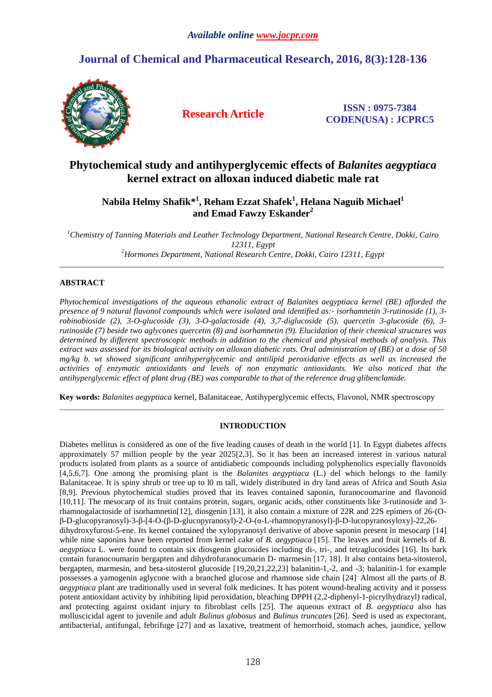# **Journal of Chemical and Pharmaceutical Research, 2016, 8(3):128-136**



**Research Article ISSN : 0975-7384 CODEN(USA) : JCPRC5**

# **Phytochemical study and antihyperglycemic effects of** *Balanites aegyptiaca* **kernel extract on alloxan induced diabetic male rat**

**Nabila Helmy Shafik\*<sup>1</sup> , Reham Ezzat Shafek<sup>1</sup> , Helana Naguib Michael<sup>1</sup> and Emad Fawzy Eskander<sup>2</sup>**

*<sup>1</sup>Chemistry of Tanning Materials and Leather Technology Department, National Research Centre, Dokki, Cairo 12311, Egypt <sup>2</sup>Hormones Department, National Research Centre, Dokki, Cairo 12311, Egypt* 

\_\_\_\_\_\_\_\_\_\_\_\_\_\_\_\_\_\_\_\_\_\_\_\_\_\_\_\_\_\_\_\_\_\_\_\_\_\_\_\_\_\_\_\_\_\_\_\_\_\_\_\_\_\_\_\_\_\_\_\_\_\_\_\_\_\_\_\_\_\_\_\_\_\_\_\_\_\_\_\_\_\_\_\_\_\_\_\_\_\_\_\_\_

## **ABSTRACT**

*Phytochemical investigations of the aqueous ethanolic extract of Balanites aegyptiaca kernel (BE) afforded the presence of 9 natural flavonol compounds which were isolated and identified as:- isorhamnetin 3-rutinoside (1), 3 robinobioside (2), 3-O-glucoside (3), 3-O-galactoside (4), 3,7-diglucoside (5), quercetin 3-glucoside (6), 3 rutinoside (7) beside two aglycones quercetin (8) and isorhamnetin (9). Elucidation of their chemical structures was determined by different spectroscopic methods in addition to the chemical and physical methods of analysis. This extract was assessed for its biological activity on alloxan diabetic rats. Oral administration of (BE) at a dose of 50 mg/kg b. wt showed significant antihyperglycemic and antilipid peroxidative effects as well as increased the activities of enzymatic antioxidants and levels of non enzymatic antioxidants. We also noticed that the antihyperglycemic effect of plant drug (BE) was comparable to that of the reference drug glibenclamide.* 

**Key words:** *Balanites aegyptiaca* kernel, Balanitaceae, Antihyperglycemic effects, Flavonol, NMR spectroscopy \_\_\_\_\_\_\_\_\_\_\_\_\_\_\_\_\_\_\_\_\_\_\_\_\_\_\_\_\_\_\_\_\_\_\_\_\_\_\_\_\_\_\_\_\_\_\_\_\_\_\_\_\_\_\_\_\_\_\_\_\_\_\_\_\_\_\_\_\_\_\_\_\_\_\_\_\_\_\_\_\_\_\_\_\_\_\_\_\_\_\_\_\_

## **INTRODUCTION**

Diabetes mellitus is considered as one of the five leading causes of death in the world [1]. In Egypt diabetes affects approximately 57 million people by the year 2025[2,3]. So it has been an increased interest in various natural products isolated from plants as a source of antidiabetic compounds including polyphenolics especially flavonoids [4,5,6,7]. One among the promising plant is the *Balanites aegyptiaca* (L.) del which belongs to the family Balanitaceae. It is spiny shrub or tree up to l0 m tall, widely distributed in dry land areas of Africa and South Asia [8,9]. Previous phytochemical studies proved that its leaves contained saponin, furanocoumarine and flavonoid [10,11]. The mesocarp of its fruit contains protein, sugars, organic acids, other constituents like 3-rutinoside and 3 rhamnogalactoside of isorhamnetin[12], diosgenin [13], it also contain a mixture of 22R and 22S epimers of 26-(Oβ-D-glucopyranosyl)-3-β-[4-O-(β-D-glucopyranosyl)-2-O-(α-L-rhamnopyranosyl)-β-D-lucopyranosyloxy]-22,26 dihydroxyfurost-5-ene. Its kernel contained the xylopyranosyl derivative of above saponin present in mesocarp [14] while nine saponins have been reported from kernel cake of *B. aegyptiaca* [15]. The leaves and fruit kernels of *B*. *aegyptiaca* L. were found to contain six diosgenin glucosides including di-, tri-, and tetraglucosides [16]. Its bark contain furanocoumarin bergapten and dihydrofuranocumarin D- marmesin [17, 18]. It also contains beta-sitosterol, bergapten, marmesin, and beta-sitosterol glucoside [19,20,21,22,23] balanitin-1,-2, and -3; balanitin-1 for example possesses a yamogenin aglycone with a branched glucose and rhamnose side chain [24]. Almost all the parts of *B. aegyptiaca* plant are traditionally used in several folk medicines. It has potent wound-healing activity and it possess potent antioxidant activity by inhibiting lipid peroxidation, bleaching DPPH (2,2-diphenyl-1-picrylhydrazyl) radical, and protecting against oxidant injury to fibroblast cells [25]. The aqueous extract of *B. aegyptiaca* also has molluscicidal agent to juvenile and adult *Bulinus globosus* and *Bulinus truncates* [26]. Seed is used as expectorant, antibacterial, antifungal, febrifuge [27] and as laxative, treatment of hemorrhoid, stomach aches, jaundice, yellow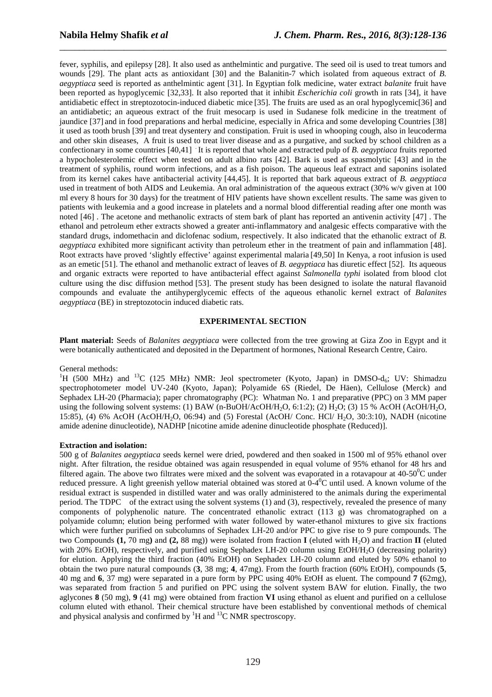fever, syphilis, and epilepsy [28]. It also used as anthelmintic and purgative. The seed oil is used to treat tumors and wounds [29]. The plant acts as antioxidant [30] and the Balanitin-7 which isolated from aqueous extract of *B. aegyptiaca* seed is reported as anthelmintic agent [31]. In Egyptian folk medicine, water extract *balanite* fruit have been reported as hypoglycemic [32,33]. It also reported that it inhibit *Escherichia coli* growth in rats [34], it have antidiabetic effect in streptozotocin-induced diabetic mice [35]. The fruits are used as an oral hypoglycemic[36] and an antidiabetic; an aqueous extract of the fruit mesocarp is used in Sudanese folk medicine in the treatment of jaundice [37] and in food preparations and herbal medicine, especially in Africa and some developing Countries [38] it used as tooth brush [39] and treat dysentery and constipation. Fruit is used in whooping cough, also in leucoderma and other skin diseases, A fruit is used to treat liver disease and as a purgative, and sucked by school children as a confectionary in some countries [40,41] . It is reported that whole and extracted pulp of *B. aegyptiaca* fruits reported a hypocholesterolemic effect when tested on adult albino rats [42]. Bark is used as spasmolytic [43] and in the treatment of syphilis, round worm infections, and as a fish poison. The aqueous leaf extract and saponins isolated from its kernel cakes have antibacterial activity [44,45]. It is reported that bark aqueous extract of *B. aegyptiaca* used in treatment of both AIDS and Leukemia. An oral administration of the aqueous extract (30% w/v given at 100 ml every 8 hours for 30 days) for the treatment of HIV patients have shown excellent results. The same was given to patients with leukemia and a good increase in platelets and a normal blood differential reading after one month was noted [46] . The acetone and methanolic extracts of stem bark of plant has reported an antivenin activity [47] . The ethanol and petroleum ether extracts showed a greater anti-inflammatory and analgesic effects comparative with the standard drugs, indomethacin and diclofenac sodium, respectively. It also indicated that the ethanolic extract of *B. aegyptiaca* exhibited more significant activity than petroleum ether in the treatment of pain and inflammation [48]. Root extracts have proved 'slightly effective' against experimental malaria [49,50] In Kenya, a root infusion is used as an emetic [51]. The ethanol and methanolic extract of leaves of *B. aegyptiaca* has diuretic effect [52]. Its aqueous and organic extracts were reported to have antibacterial effect against *Salmonella typhi* isolated from blood clot culture using the disc diffusion method [53]. The present study has been designed to isolate the natural flavanoid compounds and evaluate the antihyperglycemic effects of the aqueous ethanolic kernel extract of *Balanites aegyptiaca* (BE) in streptozotocin induced diabetic rats.

\_\_\_\_\_\_\_\_\_\_\_\_\_\_\_\_\_\_\_\_\_\_\_\_\_\_\_\_\_\_\_\_\_\_\_\_\_\_\_\_\_\_\_\_\_\_\_\_\_\_\_\_\_\_\_\_\_\_\_\_\_\_\_\_\_\_\_\_\_\_\_\_\_\_\_\_\_\_

## **EXPERIMENTAL SECTION**

**Plant material:** Seeds of *Balanites aegyptiaca* were collected from the tree growing at Giza Zoo in Egypt and it were botanically authenticated and deposited in the Department of hormones, National Research Centre, Cairo.

General methods:

<sup>1</sup>H (500 MHz) and <sup>13</sup>C (125 MHz) NMR: Jeol spectrometer (Kyoto, Japan) in DMSO-d<sub>6</sub>; UV: Shimadzu spectrophotometer model UV-240 (Kyoto, Japan); Polyamide 6S (Riedel, De Häen), Cellulose (Merck) and Sephadex LH-20 (Pharmacia); paper chromatography (PC): Whatman No. 1 and preparative (PPC) on 3 MM paper using the following solvent systems: (1) BAW (n-BuOH/AcOH/H<sub>2</sub>O, 6:1:2); (2) H<sub>2</sub>O; (3) 15 % AcOH (AcOH/H<sub>2</sub>O, 15:85), (4) 6% AcOH (AcOH/H2O, 06:94) and (5) Forestal (AcOH/ Conc. HCl/ H2O, 30:3:10), NADH (nicotine amide adenine dinucleotide), NADHP [nicotine amide adenine dinucleotide phosphate (Reduced)].

#### **Extraction and isolation:**

500 g of *Balanites aegyptiaca* seeds kernel were dried, powdered and then soaked in 1500 ml of 95% ethanol over night. After filtration, the residue obtained was again resuspended in equal volume of 95% ethanol for 48 hrs and filtered again. The above two filtrates were mixed and the solvent was evaporated in a rotavapour at  $40-50^{\circ}$ C under reduced pressure. A light greenish yellow material obtained was stored at  $0-4$ <sup>o</sup>C until used. A known volume of the residual extract is suspended in distilled water and was orally administered to the animals during the experimental period. The TDPC of the extract using the solvent systems (1) and (3), respectively, revealed the presence of many components of polyphenolic nature. The concentrated ethanolic extract (113 g) was chromatographed on a polyamide column; elution being performed with water followed by water-ethanol mixtures to give six fractions which were further purified on subcolumns of Sephadex LH-20 and/or PPC to give rise to 9 pure compounds. The two Compounds  $(1, 70 \text{ mg})$  and  $(2, 88 \text{ mg})$ ) were isolated from fraction **I** (eluted with H<sub>2</sub>O) and fraction **II** (eluted with 20% EtOH), respectively, and purified using Sephadex LH-20 column using EtOH/H<sub>2</sub>O (decreasing polarity) for elution. Applying the third fraction (40% EtOH) on Sephadex LH-20 column and eluted by 50% ethanol to obtain the two pure natural compounds (**3**, 38 mg; **4**, 47mg). From the fourth fraction (60% EtOH), compounds (**5**, 40 mg and **6**, 37 mg) were separated in a pure form by PPC using 40% EtOH as eluent. The compound **7 (**62mg), was separated from fraction 5 and purified on PPC using the solvent system BAW for elution. Finally, the two aglycones **8** (50 mg), **9** (41 mg) were obtained from fraction **VI** using ethanol as eluent and purified on a cellulose column eluted with ethanol. Their chemical structure have been established by conventional methods of chemical and physical analysis and confirmed by  ${}^{1}H$  and  ${}^{13}C$  NMR spectroscopy.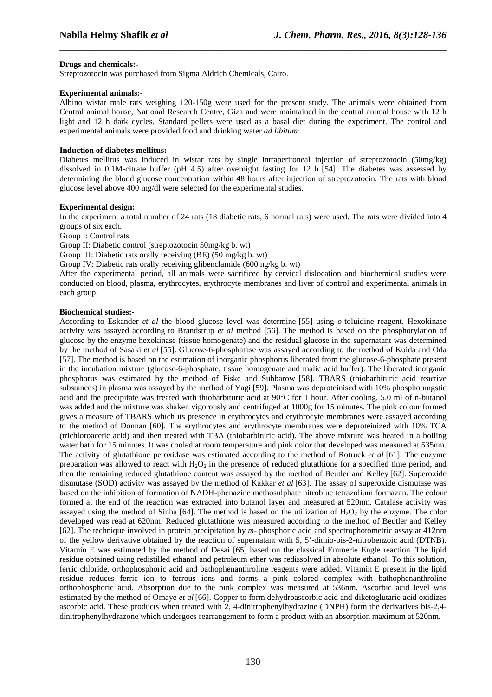## **Drugs and chemicals:-**

Streptozotocin was purchased from Sigma Aldrich Chemicals, Cairo.

## **Experimental animals:-**

Albino wistar male rats weighing 120-150g were used for the present study. The animals were obtained from Central animal house, National Research Centre, Giza and were maintained in the central animal house with 12 h light and 12 h dark cycles. Standard pellets were used as a basal diet during the experiment. The control and experimental animals were provided food and drinking water *ad libitum*

\_\_\_\_\_\_\_\_\_\_\_\_\_\_\_\_\_\_\_\_\_\_\_\_\_\_\_\_\_\_\_\_\_\_\_\_\_\_\_\_\_\_\_\_\_\_\_\_\_\_\_\_\_\_\_\_\_\_\_\_\_\_\_\_\_\_\_\_\_\_\_\_\_\_\_\_\_\_

## **Induction of diabetes mellitus:**

Diabetes mellitus was induced in wistar rats by single intraperitoneal injection of streptozotocin (50mg/kg) dissolved in 0.1M-citrate buffer (pH 4.5) after overnight fasting for 12 h [54]. The diabetes was assessed by determining the blood glucose concentration within 48 hours after injection of streptozotocin. The rats with blood glucose level above 400 mg/dl were selected for the experimental studies.

## **Experimental design:**

In the experiment a total number of 24 rats (18 diabetic rats, 6 normal rats) were used. The rats were divided into 4 groups of six each.

Group I: Control rats

Group II: Diabetic control (streptozotocin 50mg/kg b. wt)

Group III: Diabetic rats orally receiving (BE) (50 mg/kg b. wt)

Group IV: Diabetic rats orally receiving glibenclamide (600 ng/kg b. wt)

After the experimental period, all animals were sacrificed by cervical dislocation and biochemical studies were conducted on blood, plasma, erythrocytes, erythrocyte membranes and liver of control and experimental animals in each group.

## **Biochemical studies:-**

According to Eskander *et al* the blood glucose level was determine [55] using *o*-toluidine reagent. Hexokinase activity was assayed according to Brandstrup *et al* method [56]. The method is based on the phosphorylation of glucose by the enzyme hexokinase (tissue homogenate) and the residual glucose in the supernatant was determined by the method of Sasaki *et al* [55]. Glucose-6-phosphatase was assayed according to the method of Koida and Oda [57]. The method is based on the estimation of inorganic phosphorus liberated from the glucose-6-phosphate present in the incubation mixture (glucose-6-phosphate, tissue homogenate and malic acid buffer). The liberated inorganic phosphorus was estimated by the method of Fiske and Subbarow [58]. TBARS (thiobarbituric acid reactive substances) in plasma was assayed by the method of Yagi [59]. Plasma was deproteinised with 10% phosphotungstic acid and the precipitate was treated with thiobarbituric acid at 90°C for 1 hour. After cooling, 5.0 ml of n-butanol was added and the mixture was shaken vigorously and centrifuged at 1000g for 15 minutes. The pink colour formed gives a measure of TBARS which its presence in erythrocytes and erythrocyte membranes were assayed according to the method of Donnan [60]. The erythrocytes and erythrocyte membranes were deproteinized with 10% TCA (trichloroacetic acid) and then treated with TBA (thiobarbituric acid). The above mixture was heated in a boiling water bath for 15 minutes. It was cooled at room temperature and pink color that developed was measured at 535nm. The activity of glutathione peroxidase was estimated according to the method of Rotruck *et al* [61]. The enzyme preparation was allowed to react with  $H_2O_2$  in the presence of reduced glutathione for a specified time period, and then the remaining reduced glutathione content was assayed by the method of Beutler and Kelley [62]. Superoxide dismutase (SOD) activity was assayed by the method of Kakkar *et al* [63]. The assay of superoxide dismutase was based on the inhibition of formation of NADH-phenazine methosulphate nitroblue tetrazolium formazan. The colour formed at the end of the reaction was extracted into butanol layer and measured at 520nm. Catalase activity was assayed using the method of Sinha [64]. The method is based on the utilization of  $H_2O_2$  by the enzyme. The color developed was read at 620nm. Reduced glutathione was measured according to the method of Beutler and Kelley [62]. The technique involved in protein precipitation by *m*- phosphoric acid and spectrophotometric assay at 412nm of the yellow derivative obtained by the reaction of supernatant with 5, 5'-dithio-bis-2-nitrobenzoic acid (DTNB). Vitamin E was estimated by the method of Desai [65] based on the classical Emmerie Engle reaction. The lipid residue obtained using redistilled ethanol and petroleum ether was redissolved in absolute ethanol. To this solution, ferric chloride, orthophosphoric acid and bathophenanthroline reagents were added. Vitamin E present in the lipid residue reduces ferric ion to ferrous ions and forms a pink colored complex with bathophenanthroline orthophosphoric acid. Absorption due to the pink complex was measured at 536nm. Ascorbic acid level was estimated by the method of Omaye *et al* [66]. Copper to form dehydroascorbic acid and diketoglutaric acid oxidizes ascorbic acid. These products when treated with 2, 4-dinitrophenylhydrazine (DNPH) form the derivatives bis-2,4 dinitrophenylhydrazone which undergoes rearrangement to form a product with an absorption maximum at 520nm.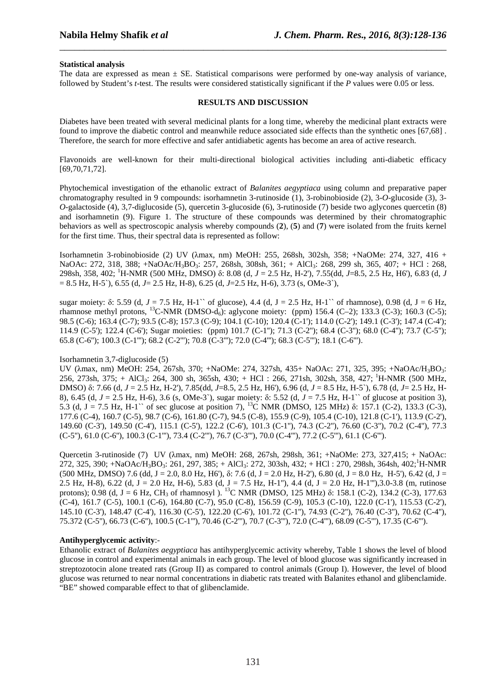## **Statistical analysis**

The data are expressed as mean  $\pm$  SE. Statistical comparisons were performed by one-way analysis of variance, followed by Student's *t*-test. The results were considered statistically significant if the *P* values were 0.05 or less.

\_\_\_\_\_\_\_\_\_\_\_\_\_\_\_\_\_\_\_\_\_\_\_\_\_\_\_\_\_\_\_\_\_\_\_\_\_\_\_\_\_\_\_\_\_\_\_\_\_\_\_\_\_\_\_\_\_\_\_\_\_\_\_\_\_\_\_\_\_\_\_\_\_\_\_\_\_\_

#### **RESULTS AND DISCUSSION**

Diabetes have been treated with several medicinal plants for a long time, whereby the medicinal plant extracts were found to improve the diabetic control and meanwhile reduce associated side effects than the synthetic ones [67,68] . Therefore, the search for more effective and safer antidiabetic agents has become an area of active research.

Flavonoids are well-known for their multi-directional biological activities including anti-diabetic efficacy [69,70,71,72].

Phytochemical investigation of the ethanolic extract of *Balanites aegyptiaca* using column and preparative paper chromatography resulted in 9 compounds: isorhamnetin 3-rutinoside (1), 3-robinobioside (2), 3-*O*-glucoside (3), 3- *O*-galactoside (4), 3,7-diglucoside (5), quercetin 3-glucoside (6), 3-rutinoside (7) beside two aglycones quercetin (8) and isorhamnetin (9). Figure 1. The structure of these compounds was determined by their chromatographic behaviors as well as spectroscopic analysis whereby compounds (**2**), (**5**) and (**7**) were isolated from the fruits kernel for the first time. Thus, their spectral data is represented as follow:

Isorhamnetin 3-robinobioside (2) UV (λmax, nm) MeOH: 255, 268sh, 302sh, 358; +NaOMe: 274, 327, 416 + NaOAc: 272, 318, 388; +NaOAc/H<sub>3</sub>BO<sub>3</sub>: 257, 268sh, 308sh, 361; + AlCl<sub>3</sub>: 268, 299 sh, 365, 407; + HCl : 268, 298sh, 358, 402; <sup>1</sup>H-NMR (500 MHz, DMSO) δ: 8.08 (d, *J* = 2.5 Hz, H-2'), 7.55(dd, *J*=8.5, 2.5 Hz, H6'), 6.83 (d, *J* = 8.5 Hz, H-5`), 6.55 (d, *J*= 2.5 Hz, H-8), 6.25 (d, *J*=2.5 Hz, H-6), 3.73 (s, OMe-3`),

sugar moiety: δ: 5.59 (d, *J* = 7.5 Hz, H-1`` of glucose), 4.4 (d, J = 2.5 Hz, H-1`` of rhamnose), 0.98 (d, J = 6 Hz, rhamnose methyl protons, <sup>13</sup>C-NMR (DMSO-d<sub>6</sub>): aglycone moiety: (ppm) 156.4 (C–2); 133.3 (C-3); 160.3 (C-5); 98.5 (C-6); 163.4 (C-7); 93.5 (C-8); 157.3 (C-9); 104.1 (C-10); 120.4 (C-1'); 114.0 (C-2'); 149.1 (C-3'); 147.4 (C-4'); 114.9 (C-5'); 122.4 (C-6'); Sugar moieties: (ppm) 101.7 (C-1''); 71.3 (C-2''); 68.4 (C-3''); 68.0 (C-4''); 73.7 (C-5''); 65.8 (C-6''); 100.3 (C-1'''); 68.2 (C-2'''); 70.8 (C-3'''); 72.0 (C-4'''); 68.3 (C-5'''); 18.1 (C-6''').

## Isorhamnetin 3,7-diglucoside (5)

UV (λmax, nm) MeOH: 254, 267sh, 370; +NaOMe: 274, 327sh, 435+ NaOAc: 271, 325, 395; +NaOAc/H<sub>3</sub>BO<sub>3</sub>: 256, 273sh, 375; + AlCl<sub>3</sub>: 264, 300 sh, 365sh, 430; + HCl : 266, 271sh, 302sh, 358, 427;<sup>1</sup>H-NMR (500 MHz, DMSO) δ: 7.66 (d, *J* = 2.5 Hz, H-2'), 7.85(dd, *J*=8.5, 2.5 Hz, H6'), 6.96 (d, *J* = 8.5 Hz, H-5`), 6.78 (d, *J*= 2.5 Hz, H-8), 6.45 (d, *J* = 2.5 Hz, H-6), 3.6 (s, OMe-3`), sugar moiety: δ: 5.52 (d, *J* = 7.5 Hz, H-1`` of glucose at position 3), 5.3 (d, J = 7.5 Hz, H-1`` of sec glucose at position 7), <sup>13</sup>C NMR (DMSO, 125 MHz) δ: 157.1 (C-2), 133.3 (C-3), 177.6 (C-4), 160.7 (C-5), 98.7 (C-6), 161.80 (C-7), 94.5 (C-8), 155.9 (C-9), 105.4 (C-10), 121.8 (C-1'), 113.9 (C-2'), 149.60 (C-3'), 149.50 (C-4'), 115.1 (C-5'), 122.2 (C-6'), 101.3 (C-1''), 74.3 (C-2''), 76.60 (C-3''), 70.2 (C-4''), 77.3 (C-5''), 61.0 (C-6''), 100.3 (C-1'''), 73.4 (C-2'''), 76.7 (C-3'''), 70.0 (C-4'''), 77.2 (C-5'''), 61.1 (C-6''').

Quercetin 3-rutinoside (7) UV (λmax, nm) MeOH: 268, 267sh, 298sh, 361; +NaOMe: 273, 327,415; + NaOAc: 272, 325, 390; +NaOAc/H<sub>3</sub>BO<sub>3</sub>: 261, 297, 385; + AlCl<sub>3</sub>: 272, 303sh, 432; + HCl : 270, 298sh, 364sh, 402;<sup>1</sup>H-NMR  $(500 \text{ MHz}, \text{DMSO})$  7.6 (dd, J = 2.0, 8.0 Hz, H6'), δ: 7.6 (d, J = 2.0 Hz, H-2'), 6.80 (d, J = 8.0 Hz, H-5'), 6.42 (d, J = 2.5 Hz, H-8), 6.22 (d, J = 2.0 Hz, H-6), 5.83 (d, J = 7.5 Hz, H-1"), 4.4 (d, J = 2.0 Hz, H-1"'), 3.0-3.8 (m, rutinose protons); 0.98 (d, J = 6 Hz, CH<sub>3</sub> of rhamnosyl ). <sup>13</sup>C NMR (DMSO, 125 MHz) δ: 158.1 (C-2), 134.2 (C-3), 177.63 (C-4), 161.7 (C-5), 100.1 (C-6), 164.80 (C-7), 95.0 (C-8), 156.59 (C-9), 105.3 (C-10), 122.0 (C-1'), 115.53 (C-2'), 145.10 (C-3'), 148.47 (C-4'), 116.30 (C-5'), 122.20 (C-6'), 101.72 (C-1''), 74.93 (C-2''), 76.40 (C-3''), 70.62 (C-4''), 75.372 (C-5''), 66.73 (C-6''), 100.5 (C-1'''), 70.46 (C-2'''), 70.7 (C-3'''), 72.0 (C-4'''), 68.09 (C-5'''), 17.35 (C-6''').

## **Antihyperglycemic activity**:-

Ethanolic extract of *Balanites aegyptiaca* has antihyperglycemic activity whereby, Table 1 shows the level of blood glucose in control and experimental animals in each group. The level of blood glucose was significantly increased in streptozotocin alone treated rats (Group II) as compared to control animals (Group I). However, the level of blood glucose was returned to near normal concentrations in diabetic rats treated with Balanites ethanol and glibenclamide. "BE" showed comparable effect to that of glibenclamide.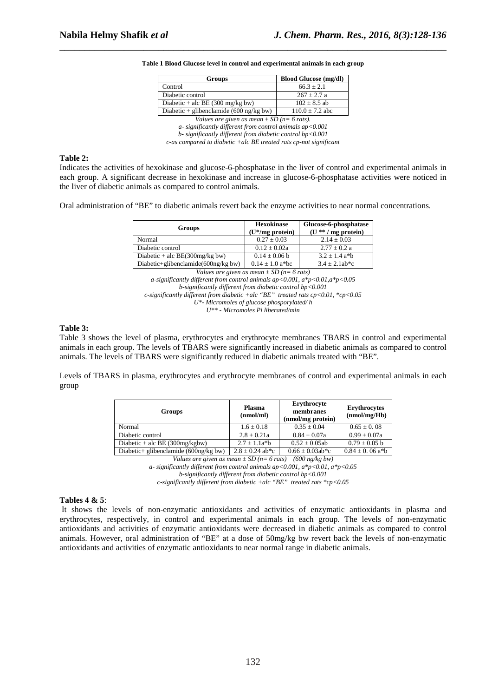| <b>Groups</b>                                                    | <b>Blood Glucose (mg/dl)</b> |  |  |
|------------------------------------------------------------------|------------------------------|--|--|
| Control                                                          | $66.3 \pm 2.1$               |  |  |
| Diabetic control                                                 | $267 + 2.7$ a                |  |  |
| Diabetic + alc BE $(300 \text{ mg/kg bw})$                       | $102 \pm 8.5$ ab             |  |  |
| Diabetic + glibenclamide $(600 \text{ ng/kg bw})$                | $110.0 \pm 7.2$ abc          |  |  |
| Values are given as mean $\pm SD$ (n= 6 rats).                   |                              |  |  |
| $a$ - significantly different from control animals ap<0.001      |                              |  |  |
| $b$ - significantly different from diabetic control $bp < 0.001$ |                              |  |  |

**Table 1 Blood Glucose level in control and experimental animals in each group** 

\_\_\_\_\_\_\_\_\_\_\_\_\_\_\_\_\_\_\_\_\_\_\_\_\_\_\_\_\_\_\_\_\_\_\_\_\_\_\_\_\_\_\_\_\_\_\_\_\_\_\_\_\_\_\_\_\_\_\_\_\_\_\_\_\_\_\_\_\_\_\_\_\_\_\_\_\_\_

*c-as compared to diabetic +alc BE treated rats cp-not significant* 

## **Table 2:**

Indicates the activities of hexokinase and glucose-6-phosphatase in the liver of control and experimental animals in each group. A significant decrease in hexokinase and increase in glucose-6-phosphatase activities were noticed in the liver of diabetic animals as compared to control animals.

Oral administration of "BE" to diabetic animals revert back the enzyme activities to near normal concentrations.

| Groups                                 | <b>Hexokinase</b><br>$(U^*/mg)$ protein) | Glucose-6-phosphatase<br>$(U$ ** / mg protein) |  |
|----------------------------------------|------------------------------------------|------------------------------------------------|--|
| Normal                                 | $0.27 \pm 0.03$                          | $2.14 \pm 0.03$                                |  |
| Diabetic control                       | $0.12 \pm 0.02a$                         | $2.77 + 0.2 a$                                 |  |
| Diabetic + alc BE $(300mg/kg)$ bw)     | $0.14 \pm 0.06$ b                        | $3.2 \pm 1.4$ a*b                              |  |
| Diabetic+glibenclamide $(600ng/kg$ bw) | $0.14 \pm 1.0$ a <sup>*</sup> bc         | $3.4 \pm 2.1$ ab*c                             |  |

*Values are given as mean ± SD (n= 6 rats) a-significantly different from control animals ap<0.001, a\*p<0.01,a\*p<0.05 b-significantly different from diabetic control bp<0.001 c-significantly different from diabetic +alc "BE" treated rats cp<0.01, \*cp<0.05 U\*- Micromoles of glucose phosporylated/ h U\*\* - Micromoles Pi liberated/min* 

#### **Table 3:**

Table 3 shows the level of plasma, erythrocytes and erythrocyte membranes TBARS in control and experimental animals in each group. The levels of TBARS were significantly increased in diabetic animals as compared to control animals. The levels of TBARS were significantly reduced in diabetic animals treated with "BE".

Levels of TBARS in plasma, erythrocytes and erythrocyte membranes of control and experimental animals in each group

| Groups                                  | Plasma<br>(nmol/ml) | Erythrocyte<br>membranes<br>(nmol/mg protein) | <b>Erythrocytes</b><br>(mmol/mg/Hb) |
|-----------------------------------------|---------------------|-----------------------------------------------|-------------------------------------|
| Normal                                  | $1.6 \pm 0.18$      | $0.35 \pm 0.04$                               | $0.65 \pm 0.08$                     |
| Diabetic control                        | $2.8 \pm 0.21a$     | $0.84 \pm 0.07a$                              | $0.99 \pm 0.07a$                    |
| Diabetic + alc BE $(300mg/kgbw)$        | $2.7 + 1.1a^*b$     | $0.52 \pm 0.05$ ab                            | $0.79 \pm 0.05$ b                   |
| Diabetic+ glibenclamide $(600ng/kg$ bw) | $2.8 \pm 0.24$ ab*c | $0.66 \pm 0.03$ ab*c                          | $0.84 \pm 0.06$ a <sup>*</sup> b    |

*Values are given as mean*  $\pm$  *SD* (*n*= 6 *rats*) (600 *ng*/*kg bw*)

*a- significantly different from control animals ap<0.001, a\*p<0.01, a\*p<0.05 b-significantly different from diabetic control bp<0.001* 

*c-significantly different from diabetic +alc "BE" treated rats \*cp<0.05* 

#### **Tables 4 & 5**:

 It shows the levels of non-enzymatic antioxidants and activities of enzymatic antioxidants in plasma and erythrocytes, respectively, in control and experimental animals in each group. The levels of non-enzymatic antioxidants and activities of enzymatic antioxidants were decreased in diabetic animals as compared to control animals. However, oral administration of "BE" at a dose of 50mg/kg bw revert back the levels of non-enzymatic antioxidants and activities of enzymatic antioxidants to near normal range in diabetic animals.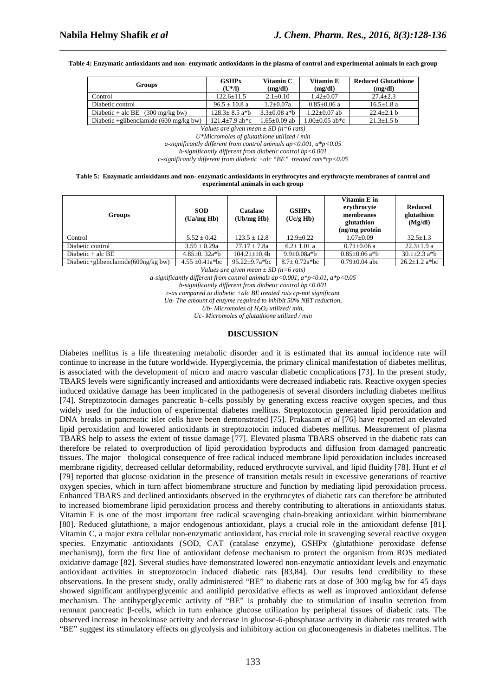**Table 4: Enzymatic antioxidants and non- enzymatic antioxidants in the plasma of control and experimental animals in each group** 

\_\_\_\_\_\_\_\_\_\_\_\_\_\_\_\_\_\_\_\_\_\_\_\_\_\_\_\_\_\_\_\_\_\_\_\_\_\_\_\_\_\_\_\_\_\_\_\_\_\_\_\_\_\_\_\_\_\_\_\_\_\_\_\_\_\_\_\_\_\_\_\_\_\_\_\_\_\_

| <b>Groups</b>                                    | <b>GSHPx</b><br>$(U^*/I)$      | Vitamin C<br>(mg/dl)          | Vitamin E<br>(mg/dl) | <b>Reduced Glutathione</b><br>(mg/dl) |  |
|--------------------------------------------------|--------------------------------|-------------------------------|----------------------|---------------------------------------|--|
| Control                                          | $122.6 \pm 11.5$               | $2.1 \pm 0.10$                | $1.42 \pm 0.07$      | $27.4 + 2.3$                          |  |
| Diabetic control                                 | $96.5 \pm 10.8$ a              | $1.2 \pm 0.07a$               | $0.85 \pm 0.06$ a    | $16.5 + 1.8$ a                        |  |
| Diabetic + alc BE $(300 \text{ mg/kg bw})$       | $128.3 + 8.5$ a <sup>*</sup> b | $3.3 + 0.08$ a <sup>*</sup> b | $1.22 + 0.07$ ab     | $22.4 + 2.1$ b                        |  |
| Diabetic +glibenclamide $(600 \text{ mg/kg bw})$ | $121.4 \pm 7.9$ ab*c           | $1.65 \pm 0.09$ ab            | $1.00 \pm 0.05$ ab*c | $21.3 \pm 1.5 b$                      |  |
| $\mathbf{r}$                                     |                                |                               |                      |                                       |  |

*Values are given mean ± SD (n=6 rats) U\*Micromoles of glutathione utilized / min* 

*a-significantly different from control animals ap<0.001, a\*p<0.05* 

*b-significantly different from diabetic control bp<0.001* 

*c-significantly different from diabetic +alc "BE" treated rats\*cp<0.05* 

**Table 5: Enzymatic antioxidants and non- enzymatic antioxidants in erythrocytes and erythrocyte membranes of control and experimental animals in each group** 

| <b>Groups</b>                           | <b>SOD</b><br>(Ua/mg Hb) | <b>Catalase</b><br>(Ub/mg Hb) | <b>GSHPx</b><br>(Uc/g Hb) | Vitamin E in<br>erythrocyte<br>membranes<br>glutathion<br>(ng/mg protein | <b>Reduced</b><br>glutathion<br>(Mg/dl) |
|-----------------------------------------|--------------------------|-------------------------------|---------------------------|--------------------------------------------------------------------------|-----------------------------------------|
| Control                                 | $5.52 \pm 0.42$          | $123.5 \pm 12.8$              | $12.9 \pm 0.22$           | $1.07 \pm 0.09$                                                          | $32.5 \pm 1.3$                          |
| Diabetic control                        | $3.59 \pm 0.29a$         | $77.17 \pm 7.8a$              | $6.2 \pm 1.01$ a          | $0.71 \pm 0.06$ a                                                        | $22.3 \pm 1.9$ a                        |
| Diabetic $+$ alc BE                     | 4.85 $\pm$ 0. 32a*b      | $104.21 \pm 10.4b$            | $9.9 \pm 0.08a^*b$        | $0.85 \pm 0.06$ a <sup>*</sup> b                                         | $30.1 \pm 2.3$ a <sup>*</sup> b         |
| Diabetic+glibenclamide( $600$ ng/kg bw) | $4.55 \pm 0.41a^*bc$     | $95.22 \pm 9.7a^*bc$          | $8.7 \pm 0.72$ a*bc       | $0.79 + 0.04$ abc                                                        | $26.2+1.2$ a*bc                         |

*Values are given mean ± SD (n=6 rats)* 

*a-significantly different from control animals ap<0.001, a\*p<0.01, a\*p<0.05* 

*b-significantly different from diabetic control bp<0.001* 

*c-as compared to diabetic +alc BE treated rats cp-not significant* 

*Ua- The amount of enzyme required to inhibit 50% NBT reduction,* 

*Ub- Micromoles of H2O2 utilized/ min,* 

*Uc- Micromoles of glutathione utilized / min* 

#### **DISCUSSION**

Diabetes mellitus is a life threatening metabolic disorder and it is estimated that its annual incidence rate will continue to increase in the future worldwide. Hyperglycemia, the primary clinical manifestation of diabetes mellitus, is associated with the development of micro and macro vascular diabetic complications [73]. In the present study, TBARS levels were significantly increased and antioxidants were decreased indiabetic rats. Reactive oxygen species induced oxidative damage has been implicated in the pathogenesis of several disorders including diabetes mellitus [74]. Streptozotocin damages pancreatic b–cells possibly by generating excess reactive oxygen species, and thus widely used for the induction of experimental diabetes mellitus. Streptozotocin generated lipid peroxidation and DNA breaks in pancreatic islet cells have been demonstrated [75]. Prakasam *et al* [76] have reported an elevated lipid peroxidation and lowered antioxidants in streptozotocin induced diabetes mellitus. Measurement of plasma TBARS help to assess the extent of tissue damage [77]. Elevated plasma TBARS observed in the diabetic rats can therefore be related to overproduction of lipid peroxidation byproducts and diffusion from damaged pancreatic tissues. The major thological consequence of free radical induced membrane lipid peroxidation includes increased membrane rigidity, decreased cellular deformability, reduced erythrocyte survival, and lipid fluidity [78]. Hunt *et al* [79] reported that glucose oxidation in the presence of transition metals result in excessive generations of reactive oxygen species, which in turn affect biomembrane structure and function by mediating lipid peroxidation process. Enhanced TBARS and declined antioxidants observed in the erythrocytes of diabetic rats can therefore be attributed to increased biomembrane lipid peroxidation process and thereby contributing to alterations in antioxidants status. Vitamin E is one of the most important free radical scavenging chain-breaking antioxidant within biomembrane [80]. Reduced glutathione, a major endogenous antioxidant, plays a crucial role in the antioxidant defense [81]. Vitamin C, a major extra cellular non-enzymatic antioxidant, has crucial role in scavenging several reactive oxygen species. Enzymatic antioxidants (SOD, CAT (catalase enzyme), GSHPx (glutathione peroxidase defense mechanism)), form the first line of antioxidant defense mechanism to protect the organism from ROS mediated oxidative damage [82]. Several studies have demonstrated lowered non-enzymatic antioxidant levels and enzymatic antioxidant activities in streptozotocin induced diabetic rats [83,84]. Our results lend credibility to these observations. In the present study, orally administered "BE" to diabetic rats at dose of 300 mg/kg bw for 45 days showed significant antihyperglycemic and antilipid peroxidative effects as well as improved antioxidant defense mechanism. The antihyperglycemic activity of "BE" is probably due to stimulation of insulin secretion from remnant pancreatic β-cells, which in turn enhance glucose utilization by peripheral tissues of diabetic rats. The observed increase in hexokinase activity and decrease in glucose-6-phosphatase activity in diabetic rats treated with "BE" suggest its stimulatory effects on glycolysis and inhibitory action on gluconeogenesis in diabetes mellitus. The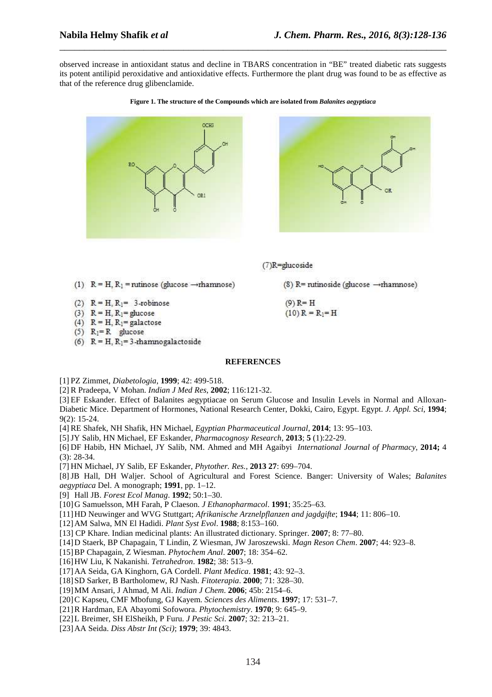observed increase in antioxidant status and decline in TBARS concentration in "BE" treated diabetic rats suggests its potent antilipid peroxidative and antioxidative effects. Furthermore the plant drug was found to be as effective as that of the reference drug glibenclamide.

\_\_\_\_\_\_\_\_\_\_\_\_\_\_\_\_\_\_\_\_\_\_\_\_\_\_\_\_\_\_\_\_\_\_\_\_\_\_\_\_\_\_\_\_\_\_\_\_\_\_\_\_\_\_\_\_\_\_\_\_\_\_\_\_\_\_\_\_\_\_\_\_\_\_\_\_\_\_







 $(8)$  R= rutinoside (glucose  $\rightarrow$ rhamnose)

(7)R=glucoside

 $(9)$  R= H

 $(10)$  R = R<sub>1</sub>= H

(1)  $R = H$ ,  $R_1$  = rutinose (glucose  $\rightarrow$ rhamnose)

- (2)  $R = H, R_1 = 3$ -robinose
- (3)  $R = H$ ,  $R_1 =$  glucose
- (4)  $R = H$ ,  $R_1 =$  galactose
- (5)  $R_1=R$  glucose
- (6)  $R = H$ ,  $R_1 = 3$ -rhamnogalactoside

#### **REFERENCES**

[1] PZ Zimmet, *Diabetologia*, **1999**; 42: 499-518.

[2] R Pradeepa, V Mohan. *Indian J Med Res*, **2002**; 116:121-32.

[3] EF Eskander. Effect of Balanites aegyptiacae on Serum Glucose and Insulin Levels in Normal and Alloxan-Diabetic Mice. Department of Hormones, National Research Center, Dokki, Cairo, Egypt. Egypt. *J. Appl. Sci*, **1994**; 9(2): 15-24.

[4] RE Shafek, NH Shafik, HN Michael, *Egyptian Pharmaceutical Journal*, **2014**; 13: 95–103.

[5] JY Salib, HN Michael, EF Eskander, *Pharmacognosy Research*, **2013**; **5** (1):22-29.

[6] DF Habib, HN Michael, JY Salib, NM. Ahmed and MH Agaibyi *International Journal of Pharmacy*, **2014;** 4 (3): 28-34.

[7] HN Michael, JY Salib, EF Eskander, *Phytother. Res.*, **2013 27**: 699–704.

[8] JB Hall, DH Waljer. School of Agricultural and Forest Science. Banger: University of Wales; *Balanites aegyptiaca* Del. A monograph; **1991**, pp. 1–12.

[9] Hall JB. *Forest Ecol Manag*. **1992**; 50:1–30.

[10] G Samuelsson, MH Farah, P Claeson. *J Ethanopharmacol*. **1991**; 35:25–63.

[11] HD Neuwinger and WVG Stuttgart; *Afrikanische Arznelpflanzen and jagdgifte*; **1944**; 11: 806–10.

[12] AM Salwa, MN El Hadidi. *Plant Syst Evol*. **1988**; 8:153–160.

[13] CP Khare. Indian medicinal plants: An illustrated dictionary. Springer. **2007**; 8: 77–80.

[14] D Staerk, BP Chapagain, T Lindin, Z Wiesman, JW Jaroszewski. *Magn Reson Chem*. **2007**; 44: 923–8.

[15] BP Chapagain, Z Wiesman. *Phytochem Anal*. **2007**; 18: 354–62.

[16] HW Liu, K Nakanishi. *Tetrahedron*. **1982**; 38: 513–9.

[17] AA Seida, GA Kinghorn, GA Cordell. *Plant Medica*. **1981**; 43: 92–3.

[18] SD Sarker, B Bartholomew, RJ Nash. *Fitoterapia*. **2000**; 71: 328–30.

[19] MM Ansari, J Ahmad, M Ali. *Indian J Chem*. **2006**; 45b: 2154–6.

[20] C Kapseu, CMF Mbofung, GJ Kayem. *Sciences des Aliments*. **1997**; 17: 531–7.

[21] R Hardman, EA Abayomi Sofowora. *Phytochemistry*. **1970**; 9: 645–9.

[22] L Breimer, SH ElSheikh, P Furu. *J Pestic Sci*. **2007**; 32: 213–21.

[23] AA Seida. *Diss Abstr Int (Sci)*; **1979**; 39: 4843.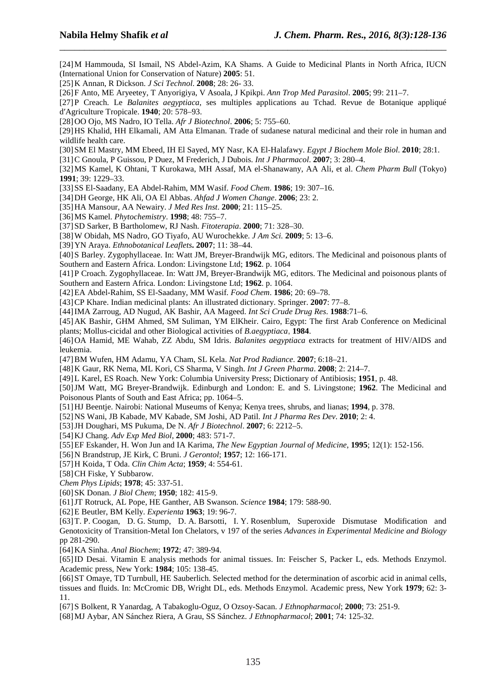[24] M Hammouda, SI Ismail, NS Abdel-Azim, KA Shams. A Guide to Medicinal Plants in North Africa, IUCN (International Union for Conservation of Nature) **2005**: 51.

\_\_\_\_\_\_\_\_\_\_\_\_\_\_\_\_\_\_\_\_\_\_\_\_\_\_\_\_\_\_\_\_\_\_\_\_\_\_\_\_\_\_\_\_\_\_\_\_\_\_\_\_\_\_\_\_\_\_\_\_\_\_\_\_\_\_\_\_\_\_\_\_\_\_\_\_\_\_

[25] K Annan, R Dickson. *J Sci Technol*. **2008**; 28: 26- 33.

[26] F Anto, ME Aryeetey, T Anyorigiya, V Asoala, J Kpikpi. *Ann Trop Med Parasitol*. **2005**; 99: 211–7.

[27] P Creach. Le *Balanites aegyptiaca*, ses multiples applications au Tchad. Revue de Botanique appliqué d′Agriculture Tropicale. **1940**; 20: 578–93.

[28] OO Ojo, MS Nadro, IO Tella. *Afr J Biotechnol*. **2006**; 5: 755–60.

[29] HS Khalid, HH Elkamali, AM Atta Elmanan. Trade of sudanese natural medicinal and their role in human and wildlife health care.

[30] SM El Mastry, MM Ebeed, IH El Sayed, MY Nasr, KA El-Halafawy. *Egypt J Biochem Mole Biol*. **2010**; 28:1.

[31] C Gnoula, P Guissou, P Duez, M Frederich, J Dubois. *Int J Pharmacol*. **2007**; 3: 280–4.

[32] MS Kamel, K Ohtani, T Kurokawa, MH Assaf, MA el-Shanawany, AA Ali, et al. *Chem Pharm Bull* (Tokyo) **1991**; 39: 1229–33.

[33] SS El-Saadany, EA Abdel-Rahim, MM Wasif. *Food Chem*. **1986**; 19: 307–16.

[34] DH George, HK Ali, OA El Abbas. *Ahfad J Women Change*. **2006**; 23: 2.

[35] HA Mansour, AA Newairy. *J Med Res Inst*. **2000**; 21: 115–25.

[36] MS Kamel. *Phytochemistry*. **1998**; 48: 755–7.

[37] SD Sarker, B Bartholomew, RJ Nash. *Fitoterapia*. **2000**; 71: 328–30.

[38] W Obidah, MS Nadro, GO Tiyafo, AU Wurochekke. *J Am Sci.* **2009**; 5: 13–6.

[39] YN Araya. *Ethnobotanical Leaflets***. 2007**; 11: 38–44.

[40] S Barley. Zygophyllaceae. In: Watt JM, Breyer-Brandwijk MG, editors. The Medicinal and poisonous plants of Southern and Eastern Africa. London: Livingstone Ltd; **1962**. p. 1064

[41] P Croach. Zygophyllaceae. In: Watt JM, Breyer-Brandwijk MG, editors. The Medicinal and poisonous plants of Southern and Eastern Africa. London: Livingstone Ltd; **1962**. p. 1064.

[42] EA Abdel-Rahim, SS El-Saadany, MM Wasif*. Food Chem*. **1986**; 20: 69–78.

[43] CP Khare. Indian medicinal plants: An illustrated dictionary. Springer. **2007**: 77–8.

[44] IMA Zarroug, AD Nugud, AK Bashir, AA Mageed. *Int Sci Crude Drug Res*. **1988**:71–6.

[45] AK Bashir, GHM Ahmed, SM Suliman, YM ElKheir. Cairo, Egypt: The first Arab Conference on Medicinal plants; Mollus-cicidal and other Biological activities of *B.aegyptiaca*, **1984**.

[46] OA Hamid, ME Wahab, ZZ Abdu, SM Idris. *Balanites aegyptiaca* extracts for treatment of HIV/AIDS and leukemia.

[47] BM Wufen, HM Adamu, YA Cham, SL Kela. *Nat Prod Radiance*. **2007**; 6:18–21.

[48] K Gaur, RK Nema, ML Kori, CS Sharma, V Singh. *Int J Green Pharma*. **2008**; 2: 214–7.

[49] L Karel, ES Roach. New York: Columbia University Press; Dictionary of Antibiosis; **1951**, p. 48.

[50] JM Watt, MG Breyer-Brandwijk. Edinburgh and London: E. and S. Livingstone; **1962**. The Medicinal and Poisonous Plants of South and East Africa; pp. 1064–5.

[51] HJ Beentje. Nairobi: National Museums of Kenya; Kenya trees, shrubs, and lianas; **1994**, p. 378.

[52] NS Wani, JB Kabade, MV Kabade, SM Joshi, AD Patil. *Int J Pharma Res Dev*. **2010**; 2: 4.

[53] JH Doughari, MS Pukuma, De N. *Afr J Biotechnol*. **2007**; 6: 2212–5.

[54] KJ Chang. *Adv Exp Med Biol*, **2000**; 483: 571-7.

[55] EF Eskander, H. Won Jun and IA Karima, *The New Egyptian Journal of Medicine*, **1995**; 12(1): 152-156.

[56] N Brandstrup, JE Kirk, C Bruni. *J Gerontol*; **1957**; 12: 166-171.

[57] H Koida, T Oda. *Clin Chim Acta*; **1959**; 4: 554-61.

[58] CH Fiske, Y Subbarow.

*Chem Phys Lipids*; **1978**; 45: 337-51.

[60] SK Donan. *J Biol Chem*; **1950**; 182: 415-9.

[61] JT Rotruck, AL Pope, HE Ganther, AB Swanson. *Science* **1984**; 179: 588-90.

[62] E Beutler, BM Kelly. *Experienta* **1963**; 19: 96-7.

[63] T. P. Coogan, D. G. Stump, D. A. Barsotti, I. Y. Rosenblum, Superoxide Dismutase Modification and Genotoxicity of Transition-Metal Ion Chelators, v 197 of the series *Advances in Experimental Medicine and Biology*  pp 281-290.

[64] KA Sinha. *Anal Biochem*; **1972**; 47: 389-94.

[65] ID Desai. Vitamin E analysis methods for animal tissues. In: Feischer S, Packer L, eds. Methods Enzymol. Academic press, New York: **1984**; 105: 138-45.

[66] ST Omaye, TD Turnbull, HE Sauberlich. Selected method for the determination of ascorbic acid in animal cells, tissues and fluids. In: McCromic DB, Wright DL, eds. Methods Enzymol. Academic press, New York **1979**; 62: 3- 11.

[67] S Bolkent, R Yanardag, A Tabakoglu-Oguz, O Ozsoy-Sacan. *J Ethnopharmacol*; **2000**; 73: 251-9.

[68] MJ Aybar, AN Sánchez Riera, A Grau, SS Sánchez. *J Ethnopharmacol*; **2001**; 74: 125-32.